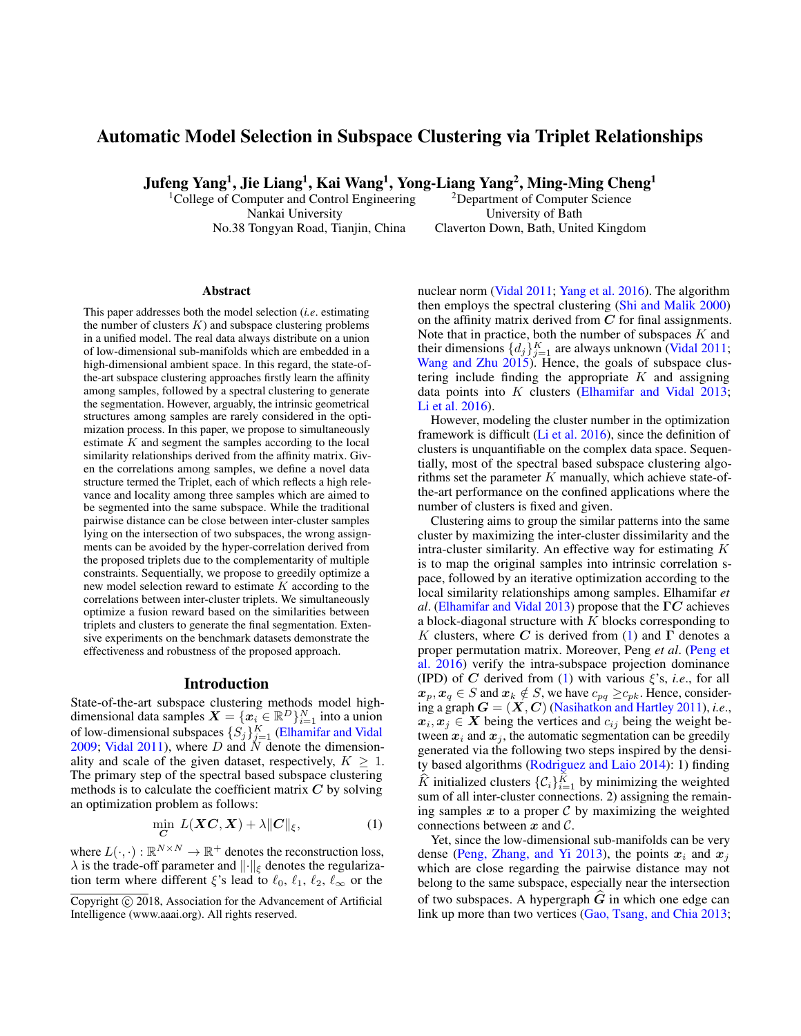# Automatic Model Selection in Subspace Clustering via Triplet Relationships

Jufeng Yang<sup>1</sup>, Jie Liang<sup>1</sup>, Kai Wang<sup>1</sup>, Yong-Liang Yang<sup>2</sup>, Ming-Ming Cheng<sup>1</sup>

Nankai University University of Bath

<sup>1</sup>College of Computer and Control Engineering <sup>2</sup>Department of Computer Science No.38 Tongyan Road, Tianjin, China Claverton Down, Bath, United Kingdom

#### Abstract

This paper addresses both the model selection (*i.e*. estimating the number of clusters  $K$ ) and subspace clustering problems in a unified model. The real data always distribute on a union of low-dimensional sub-manifolds which are embedded in a high-dimensional ambient space. In this regard, the state-ofthe-art subspace clustering approaches firstly learn the affinity among samples, followed by a spectral clustering to generate the segmentation. However, arguably, the intrinsic geometrical structures among samples are rarely considered in the optimization process. In this paper, we propose to simultaneously estimate  $K$  and segment the samples according to the local similarity relationships derived from the affinity matrix. Given the correlations among samples, we define a novel data structure termed the Triplet, each of which reflects a high relevance and locality among three samples which are aimed to be segmented into the same subspace. While the traditional pairwise distance can be close between inter-cluster samples lying on the intersection of two subspaces, the wrong assignments can be avoided by the hyper-correlation derived from the proposed triplets due to the complementarity of multiple constraints. Sequentially, we propose to greedily optimize a new model selection reward to estimate  $K$  according to the correlations between inter-cluster triplets. We simultaneously optimize a fusion reward based on the similarities between triplets and clusters to generate the final segmentation. Extensive experiments on the benchmark datasets demonstrate the effectiveness and robustness of the proposed approach.

#### Introduction

State-of-the-art subspace clustering methods model highdimensional data samples  $\mathbf{X} = \{\mathbf{x}_i \in \mathbb{R}^D\}_{i=1}^N$  into a union of low-dimensional subspaces  $\{S_j\}_{j=1}^K$  [\(Elhamifar and Vidal](#page-7-0) [2009;](#page-7-0) [Vidal 2011\)](#page-7-1), where  $D$  and  $N$  denote the dimensionality and scale of the given dataset, respectively,  $K \geq 1$ . The primary step of the spectral based subspace clustering methods is to calculate the coefficient matrix  $C$  by solving an optimization problem as follows:

<span id="page-0-0"></span>
$$
\min_{\mathbf{C}} L(\mathbf{XC}, \mathbf{X}) + \lambda \| \mathbf{C} \|_{\xi}, \tag{1}
$$

where  $L(\cdot, \cdot): \mathbb{R}^{N \times N} \to \mathbb{R}^+$  denotes the reconstruction loss,  $\lambda$  is the trade-off parameter and  $\|\cdot\|_{\xi}$  denotes the regularization term where different  $\xi$ 's lead to  $\ell_0, \ell_1, \ell_2, \ell_\infty$  or the

nuclear norm [\(Vidal 2011;](#page-7-1) [Yang et al.](#page-7-2) 2016). The algorithm then employs the spectral clustering [\(Shi and Malik 2000\)](#page-7-3) on the affinity matrix derived from  $C$  for final assignments. Note that in practice, both the number of subspaces  $K$  and their dimensions  $\{d_j\}_{j=1}^K$  are always unknown [\(Vidal 2011;](#page-7-1) [Wang and Zhu 2015\)](#page-7-4). Hence, the goals of subspace clustering include finding the appropriate  $K$  and assigning data points into  $K$  clusters [\(Elhamifar and Vidal 2013;](#page-7-5) [Li et al. 2016\)](#page-7-6).

However, modeling the cluster number in the optimization framework is difficult [\(Li et al.](#page-7-6) 2016), since the definition of clusters is unquantifiable on the complex data space. Sequentially, most of the spectral based subspace clustering algorithms set the parameter  $K$  manually, which achieve state-ofthe-art performance on the confined applications where the number of clusters is fixed and given.

Clustering aims to group the similar patterns into the same cluster by maximizing the inter-cluster dissimilarity and the intra-cluster similarity. An effective way for estimating  $K$ is to map the original samples into intrinsic correlation space, followed by an iterative optimization according to the local similarity relationships among samples. Elhamifar *et al*. [\(Elhamifar and Vidal 2013\)](#page-7-5) propose that the ΓC achieves a block-diagonal structure with  $K$  blocks corresponding to K clusters, where C is derived from [\(1\)](#page-0-0) and  $\Gamma$  denotes a proper permutation matrix. Moreover, Peng *et al*. [\(Peng et](#page-7-7) al. [2016\)](#page-7-7) verify the intra-subspace projection dominance (IPD) of C derived from [\(1\)](#page-0-0) with various  $\xi$ 's, *i.e.*, for all  $x_p, x_q \in S$  and  $x_k \notin S$ , we have  $c_{pq} \geq c_{pk}$ . Hence, considering a graph  $G = (X, C)$  [\(Nasihatkon and Hartley 2011\)](#page-7-8), *i.e.*,  $x_i, x_j \in X$  being the vertices and  $c_{ij}$  being the weight between  $x_i$  and  $x_j$ , the automatic segmentation can be greedily generated via the following two steps inspired by the density based algorithms [\(Rodriguez and Laio 2014\)](#page-7-9): 1) finding  $\widehat{K}$  initialized clusters  $\{C_i\}_{i=1}^K$  by minimizing the weighted sum of all inter-cluster connections. 2) assigning the remaining samples  $x$  to a proper  $\mathcal C$  by maximizing the weighted connections between  $x$  and  $\mathcal{C}$ .

Yet, since the low-dimensional sub-manifolds can be very dense [\(Peng, Zhang, and Yi 2013\)](#page-7-10), the points  $x_i$  and  $x_j$ which are close regarding the pairwise distance may not belong to the same subspace, especially near the intersection of two subspaces. A hypergraph  $\hat{G}$  in which one edge can link up more than two vertices [\(Gao, Tsang, and Chia 2013;](#page-7-11)

Copyright © 2018, Association for the Advancement of Artificial Intelligence (www.aaai.org). All rights reserved.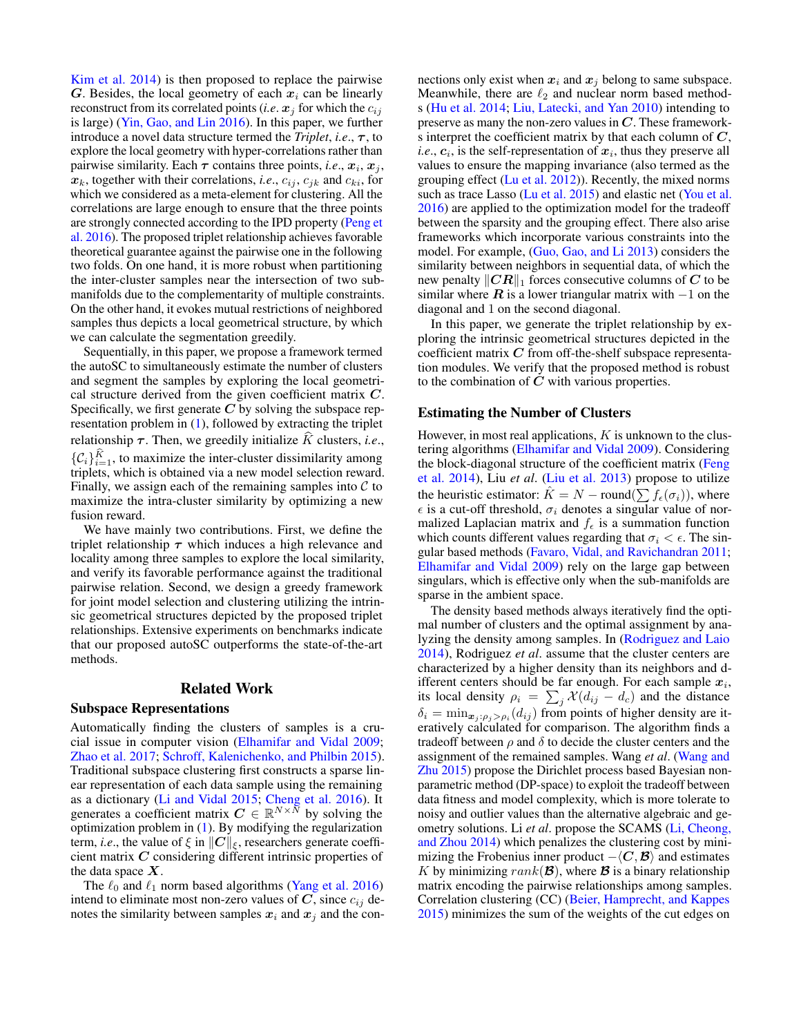[Kim et al.](#page-7-12) 2014) is then proposed to replace the pairwise G. Besides, the local geometry of each  $x_i$  can be linearly reconstruct from its correlated points (*i.e.*  $x_j$  for which the  $c_{ij}$ is large) [\(Yin, Gao, and Lin 2016\)](#page-7-13). In this paper, we further introduce a novel data structure termed the *Triplet*, *i.e.*,  $\tau$ , to explore the local geometry with hyper-correlations rather than pairwise similarity. Each  $\tau$  contains three points, *i.e.*,  $x_i$ ,  $x_j$ ,  $x_k$ , together with their correlations, *i.e.*,  $c_{ij}$ ,  $c_{jk}$  and  $c_{ki}$ , for which we considered as a meta-element for clustering. All the correlations are large enough to ensure that the three points are strongly connected according to the IPD property [\(Peng et](#page-7-7) al. [2016\)](#page-7-7). The proposed triplet relationship achieves favorable theoretical guarantee against the pairwise one in the following two folds. On one hand, it is more robust when partitioning the inter-cluster samples near the intersection of two submanifolds due to the complementarity of multiple constraints. On the other hand, it evokes mutual restrictions of neighbored samples thus depicts a local geometrical structure, by which we can calculate the segmentation greedily.

Sequentially, in this paper, we propose a framework termed the autoSC to simultaneously estimate the number of clusters and segment the samples by exploring the local geometrical structure derived from the given coefficient matrix C. Specifically, we first generate  $\overline{C}$  by solving the subspace representation problem in [\(1\)](#page-0-0), followed by extracting the triplet relationship  $\tau$ . Then, we greedily initialize  $\hat{K}$  clusters, *i.e.*,  $\{\mathcal{C}_i\}_{i=1}^K$ , to maximize the inter-cluster dissimilarity among triplets, which is obtained via a new model selection reward. Finally, we assign each of the remaining samples into  $\mathcal C$  to maximize the intra-cluster similarity by optimizing a new fusion reward.

We have mainly two contributions. First, we define the triplet relationship  $\tau$  which induces a high relevance and locality among three samples to explore the local similarity, and verify its favorable performance against the traditional pairwise relation. Second, we design a greedy framework for joint model selection and clustering utilizing the intrinsic geometrical structures depicted by the proposed triplet relationships. Extensive experiments on benchmarks indicate that our proposed autoSC outperforms the state-of-the-art methods.

#### Related Work

### Subspace Representations

Automatically finding the clusters of samples is a crucial issue in computer vision [\(Elhamifar and Vidal 2009;](#page-7-0) [Zhao et al.](#page-7-14) 2017; [Schroff, Kalenichenko, and Philbin 2015\)](#page-7-15). Traditional subspace clustering first constructs a sparse linear representation of each data sample using the remaining as a dictionary [\(Li and Vidal 2015;](#page-7-16) [Cheng et al.](#page-7-17) 2016). It generates a coefficient matrix  $C \in \mathbb{R}^{N \times \tilde{N}}$  by solving the optimization problem in [\(1\)](#page-0-0). By modifying the regularization term, *i.e.*, the value of  $\xi$  in  $||C||_{\xi}$ , researchers generate coefficient matrix C considering different intrinsic properties of the data space  $X$ .

The  $\ell_0$  and  $\ell_1$  norm based algorithms [\(Yang et al.](#page-7-2) 2016) intend to eliminate most non-zero values of  $C$ , since  $c_{ij}$  denotes the similarity between samples  $x_i$  and  $x_j$  and the connections only exist when  $x_i$  and  $x_j$  belong to same subspace. Meanwhile, there are  $\ell_2$  and nuclear norm based methods [\(Hu et al.](#page-7-18) 2014; [Liu, Latecki, and Yan 2010\)](#page-7-19) intending to preserve as many the non-zero values in  $C$ . These frameworks interpret the coefficient matrix by that each column of  $C$ , *i.e.*,  $c_i$ , is the self-representation of  $x_i$ , thus they preserve all values to ensure the mapping invariance (also termed as the grouping effect [\(Lu et al.](#page-7-20) 2012)). Recently, the mixed norms such as trace Lasso [\(Lu et al.](#page-7-21) 2015) and elastic net [\(You et al.](#page-7-22) [2016\)](#page-7-22) are applied to the optimization model for the tradeoff between the sparsity and the grouping effect. There also arise frameworks which incorporate various constraints into the model. For example, [\(Guo, Gao, and Li 2013\)](#page-7-23) considers the similarity between neighbors in sequential data, of which the new penalty  $||CR||_1$  forces consecutive columns of C to be similar where  $\bf{R}$  is a lower triangular matrix with  $-1$  on the diagonal and 1 on the second diagonal.

In this paper, we generate the triplet relationship by exploring the intrinsic geometrical structures depicted in the coefficient matrix  $C$  from off-the-shelf subspace representation modules. We verify that the proposed method is robust to the combination of  $C$  with various properties.

#### Estimating the Number of Clusters

However, in most real applications,  $K$  is unknown to the clustering algorithms [\(Elhamifar and Vidal 2009\)](#page-7-0). Considering the block-diagonal structure of the coefficient matrix [\(Feng](#page-7-24) et al. [2014\)](#page-7-24), Liu *et al*. [\(Liu et al.](#page-7-25) 2013) propose to utilize the heuristic estimator:  $\hat{K} = N - \text{round}(\sum f_{\epsilon}(\sigma_i))$ , where  $\epsilon$  is a cut-off threshold,  $\sigma_i$  denotes a singular value of normalized Laplacian matrix and  $f_{\epsilon}$  is a summation function which counts different values regarding that  $\sigma_i < \epsilon$ . The singular based methods [\(Favaro, Vidal, and Ravichandran 2011;](#page-7-26) [Elhamifar and Vidal 2009\)](#page-7-0) rely on the large gap between singulars, which is effective only when the sub-manifolds are sparse in the ambient space.

The density based methods always iteratively find the optimal number of clusters and the optimal assignment by analyzing the density among samples. In [\(Rodriguez and Laio](#page-7-9) [2014\)](#page-7-9), Rodriguez *et al*. assume that the cluster centers are characterized by a higher density than its neighbors and different centers should be far enough. For each sample  $x_i$ , its local density  $\rho_i = \sum_j \mathcal{X}(d_{ij} - d_c)$  and the distance  $\delta_i = \min_{\mathbf{x}_j : \rho_j > \rho_i}(d_{ij})$  from points of higher density are iteratively calculated for comparison. The algorithm finds a tradeoff between  $\rho$  and  $\delta$  to decide the cluster centers and the assignment of the remained samples. Wang *et al*. [\(Wang and](#page-7-4) [Zhu 2015\)](#page-7-4) propose the Dirichlet process based Bayesian nonparametric method (DP-space) to exploit the tradeoff between data fitness and model complexity, which is more tolerate to noisy and outlier values than the alternative algebraic and geometry solutions. Li *et al*. propose the SCAMS [\(Li, Cheong,](#page-7-27) [and Zhou 2014\)](#page-7-27) which penalizes the clustering cost by minimizing the Frobenius inner product  $-\langle C, \mathcal{B} \rangle$  and estimates K by minimizing  $rank(\mathcal{B})$ , where  $\mathcal B$  is a binary relationship matrix encoding the pairwise relationships among samples. Correlation clustering (CC) [\(Beier, Hamprecht, and Kappes](#page-7-28) [2015\)](#page-7-28) minimizes the sum of the weights of the cut edges on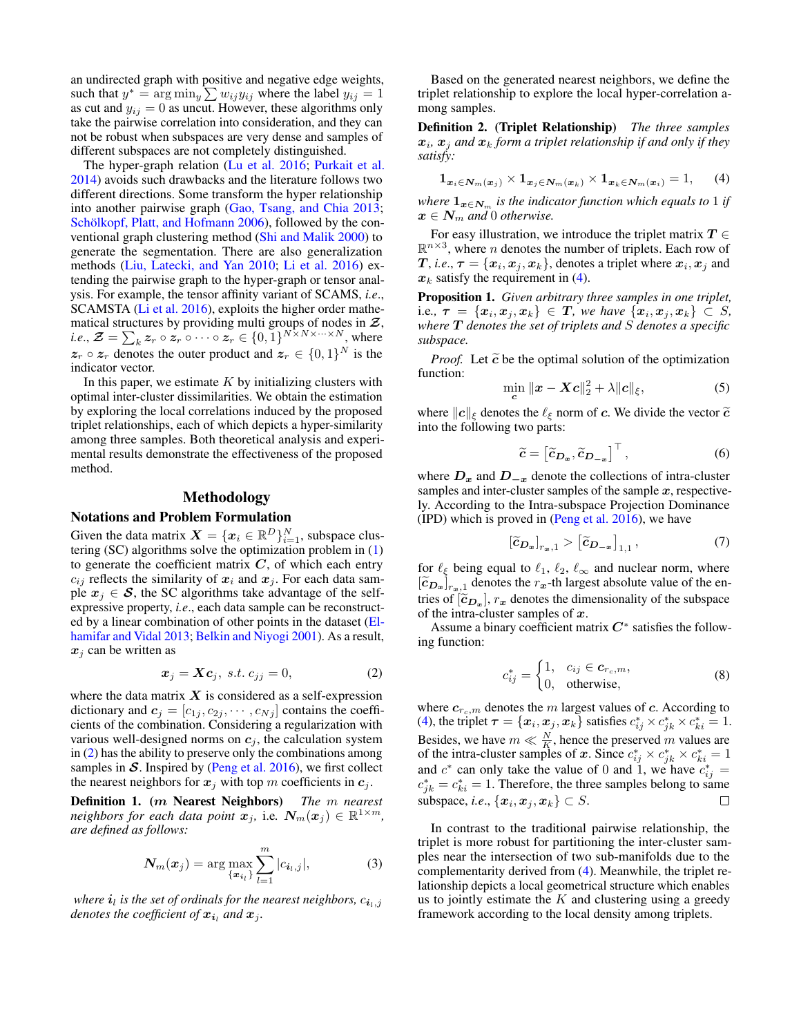an undirected graph with positive and negative edge weights, such that  $y^* = \arg \min_y \sum w_{ij} y_{ij}$  where the label  $y_{ij} = 1$ as cut and  $y_{ij} = 0$  as uncut. However, these algorithms only take the pairwise correlation into consideration, and they can not be robust when subspaces are very dense and samples of different subspaces are not completely distinguished.

The hyper-graph relation [\(Lu et al.](#page-7-29) 2016; [Purkait et al.](#page-7-30) [2014\)](#page-7-30) avoids such drawbacks and the literature follows two different directions. Some transform the hyper relationship into another pairwise graph [\(Gao, Tsang, and Chia 2013;](#page-7-11) [Schölkopf, Platt, and Hofmann 2006\)](#page-7-31), followed by the conventional graph clustering method [\(Shi and Malik 2000\)](#page-7-3) to generate the segmentation. There are also generalization methods [\(Liu, Latecki, and Yan 2010;](#page-7-19) [Li et al.](#page-7-6) 2016) extending the pairwise graph to the hyper-graph or tensor analysis. For example, the tensor affinity variant of SCAMS, *i.e*., SCAMSTA [\(Li et al.](#page-7-6) 2016), exploits the higher order mathematical structures by providing multi groups of nodes in  $\mathcal{Z}$ , *i.e.*,  $\mathcal{Z} = \sum_{k} z_r \circ z_r \circ \cdots \circ z_r \in \{0, 1\}^{N \times N \times \cdots \times N}$ , where  $z_r \circ z_r$  denotes the outer product and  $z_r \in \{0,1\}^N$  is the indicator vector.

In this paper, we estimate  $K$  by initializing clusters with optimal inter-cluster dissimilarities. We obtain the estimation by exploring the local correlations induced by the proposed triplet relationships, each of which depicts a hyper-similarity among three samples. Both theoretical analysis and experimental results demonstrate the effectiveness of the proposed method.

## Methodology

### Notations and Problem Formulation

Given the data matrix  $\mathbf{X} = \{\mathbf{x}_i \in \mathbb{R}^D\}_{i=1}^N$ , subspace clustering (SC) algorithms solve the optimization problem in [\(1\)](#page-0-0) to generate the coefficient matrix  $C$ , of which each entry  $c_{ij}$  reflects the similarity of  $x_i$  and  $x_j$ . For each data sample  $x_i \in S$ , the SC algorithms take advantage of the selfexpressive property, *i.e*., each data sample can be reconstructed by a linear combination of other points in the dataset [\(El](#page-7-5)[hamifar and Vidal 2013;](#page-7-5) [Belkin and Niyogi 2001\)](#page-7-32). As a result,  $x_i$  can be written as

<span id="page-2-0"></span>
$$
\boldsymbol{x}_j = \boldsymbol{X}\boldsymbol{c}_j, \ \text{s.t.} \ c_{jj} = 0,\tag{2}
$$

where the data matrix  $X$  is considered as a self-expression dictionary and  $c_j = [c_{1j}, c_{2j}, \cdots, c_{Nj}]$  contains the coefficients of the combination. Considering a regularization with various well-designed norms on  $c_j$ , the calculation system in [\(2\)](#page-2-0) has the ability to preserve only the combinations among samples in  $S$ . Inspired by [\(Peng et al.](#page-7-7) 2016), we first collect the nearest neighbors for  $x_j$  with top m coefficients in  $c_j$ .

Definition 1. (m Nearest Neighbors) *The* m *nearest neighbors for each data point*  $\mathbf{x}_j$ , i.e.  $\mathbf{N}_m(\mathbf{x}_j) \in \mathbb{R}^{1 \times m}$ , *are defined as follows:*

<span id="page-2-2"></span>
$$
N_m(x_j) = \arg\max_{\{x_{i_l}\}} \sum_{l=1}^m |c_{i_l,j}|,
$$
 (3)

where  $\boldsymbol{i}_l$  is the set of ordinals for the nearest neighbors,  $c_{\boldsymbol{i}_l,j}$ denotes the coefficient of  $x_{i_l}$  and  $x_j$ .

Based on the generated nearest neighbors, we define the triplet relationship to explore the local hyper-correlation among samples.

Definition 2. (Triplet Relationship) *The three samples*  $\boldsymbol{x}_i$ ,  $\boldsymbol{x}_j$  and  $\boldsymbol{x}_k$  form a triplet relationship if and only if they *satisfy:*

<span id="page-2-1"></span>
$$
\mathbf{1}_{\boldsymbol{x}_i \in \mathbf{N}_m(\boldsymbol{x}_j)} \times \mathbf{1}_{\boldsymbol{x}_j \in \mathbf{N}_m(\boldsymbol{x}_k)} \times \mathbf{1}_{\boldsymbol{x}_k \in \mathbf{N}_m(\boldsymbol{x}_i)} = 1,
$$
 (4)

*where*  $\mathbf{1}_{\boldsymbol{x} \in \mathbb{N}_m}$  *is the indicator function which equals to* 1 *if*  $x \in N_m$  and 0 otherwise.

For easy illustration, we introduce the triplet matrix  $T \in$  $\mathbb{R}^{n \times 3}$ , where *n* denotes the number of triplets. Each row of T, *i.e.*,  $\tau = \{x_i, x_j, x_k\}$ , denotes a triplet where  $x_i, x_j$  and  $x_k$  satisfy the requirement in [\(4\)](#page-2-1).

Proposition 1. *Given arbitrary three samples in one triplet,* i.e.,  $\tau = \{x_i, x_j, x_k\} \in T$ *, we have*  $\{x_i, x_j, x_k\} \subset S$ *, where* T *denotes the set of triplets and* S *denotes a specific subspace.*

*Proof.* Let  $\tilde{c}$  be the optimal solution of the optimization function:

$$
\min_{\mathbf{c}} \| \mathbf{x} - \mathbf{X} \mathbf{c} \|_2^2 + \lambda \| \mathbf{c} \|_{\xi}, \tag{5}
$$

where  $||c||_{\xi}$  denotes the  $\ell_{\xi}$  norm of c. We divide the vector  $\tilde{c}$ into the following two parts:

$$
\widetilde{c} = \left[ \widetilde{c}_{D_{x}}, \widetilde{c}_{D_{-x}} \right]^{\top}, \tag{6}
$$

where  $D_x$  and  $D_{-x}$  denote the collections of intra-cluster samples and inter-cluster samples of the sample  $x$ , respectively. According to the Intra-subspace Projection Dominance  $(IPD)$  which is proved in  $( Peng et al. 2016)$ , we have

$$
\left[\widetilde{c}_{D_{\varpi}}\right]_{r_{\varpi},1} > \left[\widetilde{c}_{D_{-\varpi}}\right]_{1,1},\tag{7}
$$

for  $\ell_{\xi}$  being equal to  $\ell_1, \ell_2, \ell_{\infty}$  and nuclear norm, where  $\left[\widetilde{c}_{D_x}\right]_{r_x,1}$  denotes the  $r_x$ -th largest absolute value of the en-<br>trice of  $\left[\widetilde{\epsilon}\right]_{r_x,1}$  and denotes the dimensionality of the subgross tries of  $[\tilde{c}_{D_x}]$ ,  $r_x$  denotes the dimensionality of the subspace<br>of the intra-cluster samples of  $r$ of the intra-cluster samples of  $x$ .

Assume a binary coefficient matrix  $C^*$  satisfies the following function:

$$
c_{ij}^* = \begin{cases} 1, & c_{ij} \in \mathbf{c}_{r_c,m}, \\ 0, & \text{otherwise}, \end{cases} \tag{8}
$$

where  $c_{r_c,m}$  denotes the m largest values of c. According to [\(4\)](#page-2-1), the triplet  $\boldsymbol{\tau} = \{\boldsymbol{x}_i, \boldsymbol{x}_j, \boldsymbol{x}_k\}$  satisfies  $c_{ij}^* \times c_{jk}^* \times c_{ki}^* = 1$ . Besides, we have  $m \ll \frac{N}{K}$ , hence the preserved m values are of the intra-cluster samples of x. Since  $c_{ij}^* \times c_{jk}^* \times c_{ki}^* = 1$ and  $c^*$  can only take the value of 0 and 1, we have  $c_{ij}^* =$  $c_{jk}^* = c_{ki}^* = 1$ . Therefore, the three samples belong to same subspace, *i.e.*,  $\{\boldsymbol{x}_i, \boldsymbol{x}_j, \boldsymbol{x}_k\} \subset S$ .  $\Box$ 

In contrast to the traditional pairwise relationship, the triplet is more robust for partitioning the inter-cluster samples near the intersection of two sub-manifolds due to the complementarity derived from [\(4\)](#page-2-1). Meanwhile, the triplet relationship depicts a local geometrical structure which enables us to jointly estimate the  $K$  and clustering using a greedy framework according to the local density among triplets.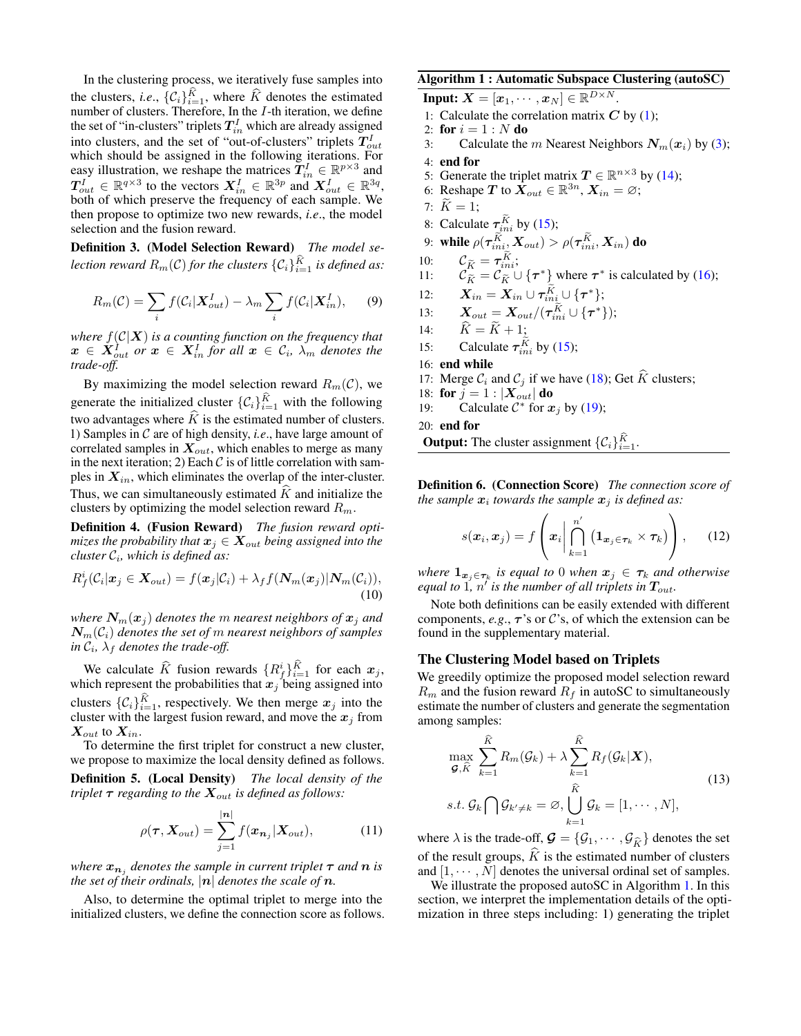In the clustering process, we iteratively fuse samples into the clusters, *i.e.*,  $\{C_i\}_{i=1}^K$ , where  $\widehat{K}$  denotes the estimated number of clusters. Therefore, In the *I*-th iteration, we define the set of "in-clusters" triplets  $T_{in}^I$  which are already assigned into clusters, and the set of "out-of-clusters" triplets  $T_{out}^I$ which should be assigned in the following iterations. For easy illustration, we reshape the matrices  $\mathbf{T}_{in}^I \in \mathbb{R}^{p \times 3}$  and  $T_{out}^I \in \mathbb{R}^{q \times 3}$  to the vectors  $X_{in}^I \in \mathbb{R}^{3p}$  and  $X_{out}^I \in \mathbb{R}^{3q}$ , both of which preserve the frequency of each sample. We then propose to optimize two new rewards, *i.e*., the model selection and the fusion reward.

Definition 3. (Model Selection Reward) *The model se*lection reward  $R_m(\mathcal{C})$  for the clusters  $\{\mathcal{C}_i\}_{i=1}^K$  is defined as:

$$
R_m(\mathcal{C}) = \sum_i f(\mathcal{C}_i | \mathbf{X}_{out}^I) - \lambda_m \sum_i f(\mathcal{C}_i | \mathbf{X}_{in}^I), \qquad (9)
$$

*where* f(C|X) *is a counting function on the frequency that*  $\boldsymbol{x}\, \in\, \boldsymbol{X}_{out}^{I}$  or  $\boldsymbol{x}\, \in\, \boldsymbol{X}_{in}^{I}$  for all  $\boldsymbol{x}\, \in\, \mathcal{C}_{i},\ \lambda_{m}$  denotes the *trade-off.*

By maximizing the model selection reward  $R_m(\mathcal{C})$ , we generate the initialized cluster  $\{\mathcal{C}_i\}_{i=1}^K$  with the following two advantages where  $\hat{K}$  is the estimated number of clusters. 1) Samples in C are of high density, *i.e*., have large amount of correlated samples in  $X_{out}$ , which enables to merge as many in the next iteration; 2) Each  $\mathcal C$  is of little correlation with samples in  $X_{in}$ , which eliminates the overlap of the inter-cluster. Thus, we can simultaneously estimated  $K$  and initialize the clusters by optimizing the model selection reward  $R_m$ .

Definition 4. (Fusion Reward) *The fusion reward optimizes the probability that*  $x_j \in X_{out}$  *being assigned into the cluster* C<sup>i</sup> *, which is defined as:*

<span id="page-3-2"></span>
$$
R_f^i(\mathcal{C}_i|\boldsymbol{x}_j \in \boldsymbol{X}_{out}) = f(\boldsymbol{x}_j|\mathcal{C}_i) + \lambda_f f(\boldsymbol{N}_m(\boldsymbol{x}_j)|\boldsymbol{N}_m(\mathcal{C}_i)),
$$
\n(10)

*where*  $N_m(x_j)$  *denotes the m nearest neighbors of*  $x_j$  *and* Nm(Ci) *denotes the set of* m *nearest neighbors of samples*  $\int$ *in*  $\mathcal{C}_i$ *,*  $\lambda_f$  *denotes the trade-off.* 

We calculate  $\hat{K}$  fusion rewards  ${R_f^i}_{i=1}^K$  for each  $x_j$ , which represent the probabilities that  $x_j$  being assigned into clusters  $\{C_i\}_{i=1}^K$ , respectively. We then merge  $x_j$  into the cluster with the largest fusion reward, and move the  $x_j$  from  $\mathbf{X}_{out}$  to  $\mathbf{X}_{in}$ .

To determine the first triplet for construct a new cluster, we propose to maximize the local density defined as follows.

<span id="page-3-1"></span>Definition 5. (Local Density) *The local density of the triplet*  $\tau$  *regarding to the*  $X_{out}$  *is defined as follows:* 

$$
\rho(\boldsymbol{\tau}, \boldsymbol{X}_{out}) = \sum_{j=1}^{|n|} f(\boldsymbol{x}_{n_j} | \boldsymbol{X}_{out}), \qquad (11)
$$

*where*  $x_{n_i}$  *denotes the sample in current triplet*  $\tau$  *and*  $n$  *is the set of their ordinals,*  $|n|$  *denotes the scale of*  $n$ *.* 

Also, to determine the optimal triplet to merge into the initialized clusters, we define the connection score as follows.

<span id="page-3-0"></span>Algorithm 1 : Automatic Subspace Clustering (autoSC) Input:  $\boldsymbol{X} = [\boldsymbol{x}_1, \cdots, \boldsymbol{x}_N] \in \mathbb{R}^{D \times N}.$ 1: Calculate the correlation matrix  $C$  by [\(1\)](#page-0-0); 2: for  $i = 1 : N$  do 3: Calculate the *m* Nearest Neighbors  $N_m(x_i)$  by [\(3\)](#page-2-2); 4: end for 5: Generate the triplet matrix  $T \in \mathbb{R}^{n \times 3}$  by [\(14\)](#page-4-0); 6: Reshape T to  $\dot{X}_{out} \in \mathbb{R}^{3n}$ ,  $X_{in} = \varnothing$ ; 7:  $K = 1$ ; 8: Calculate  $\tau_{ini}^K$  by [\(15\)](#page-4-1); 9: while  $\rho(\boldsymbol{\tau}_{ini}^{K},\boldsymbol{X}_{out}) > \rho(\boldsymbol{\tau}_{ini}^{K},\boldsymbol{X}_{in})$  do 10:  $\mathcal{C}_{\widetilde{K}} = \tau_{ini}^K$ ; 11:  $C_{\tilde{K}}^{\tilde{K}} = C_{\tilde{K}}^{\tilde{K}} \cup \{ \tau^* \}$  where  $\tau^*$  is calculated by [\(16\)](#page-4-2); 12:  $\boldsymbol{X}_{in} = \boldsymbol{X}_{in} \cup \boldsymbol{\tau}_{ini}^K \cup \{\boldsymbol{\tau}^*\};$ 13:  $\bm{X}_{out} = \bm{X}_{out}/(\bm{\tau}_{ini}^K \cup \{\bm{\tau}^*\});$ 14:  $K = K + 1;$ 15: Calculate  $\tau_{ini}^K$  by [\(15\)](#page-4-1); 16: end while 17: Merge  $C_i$  and  $C_j$  if we have [\(18\)](#page-4-3); Get  $\widehat{K}$  clusters; 18: for  $j = 1 : |X_{out}|$  do 19: Calculate  $C^*$  for x 19: Calculate  $C^*$  for  $x_j$  by [\(19\)](#page-4-4); 20: end for **Output:** The cluster assignment  $\{\mathcal{C}_i\}_{i=1}^K$ .

Definition 6. (Connection Score) *The connection score of the sample*  $x_i$  towards the sample  $x_j$  is defined as:

$$
s(\boldsymbol{x}_i, \boldsymbol{x}_j) = f\left(\boldsymbol{x}_i \middle| \bigcap_{k=1}^{n'} \left(\mathbf{1}_{\boldsymbol{x}_j \in \boldsymbol{\tau}_k} \times \boldsymbol{\tau}_k\right)\right), \qquad (12)
$$

 $where \; 1_{x_j \in \tau_k}$  *is equal to* 0 *when*  $x_j \in \tau_k$  *and otherwise equal to*  $1$ ,  $n'$  is the number of all triplets in  $T_{out}$ .

Note both definitions can be easily extended with different components,  $e.g., \tau$ 's or C's, of which the extension can be found in the supplementary material.

#### The Clustering Model based on Triplets

We greedily optimize the proposed model selection reward  $R_m$  and the fusion reward  $R_f$  in autoSC to simultaneously estimate the number of clusters and generate the segmentation among samples:

$$
\max_{\mathcal{G}, \widehat{K}} \sum_{k=1}^{\widehat{K}} R_m(\mathcal{G}_k) + \lambda \sum_{k=1}^{\widehat{K}} R_f(\mathcal{G}_k | \mathbf{X}),
$$
\n
$$
s.t. \mathcal{G}_k \bigcap \mathcal{G}_{k' \neq k} = \varnothing, \bigcup_{k=1}^{\widehat{K}} \mathcal{G}_k = [1, \cdots, N],
$$
\n(13)

where  $\lambda$  is the trade-off,  $\mathcal{G} = \{ \mathcal{G}_1, \cdots, \mathcal{G}_{\widehat{K}} \}$  denotes the set of the result groups,  $K$  is the estimated number of clusters and  $[1, \cdots, N]$  denotes the universal ordinal set of samples.

We illustrate the proposed autoSC in Algorithm [1.](#page-3-0) In this section, we interpret the implementation details of the optimization in three steps including: 1) generating the triplet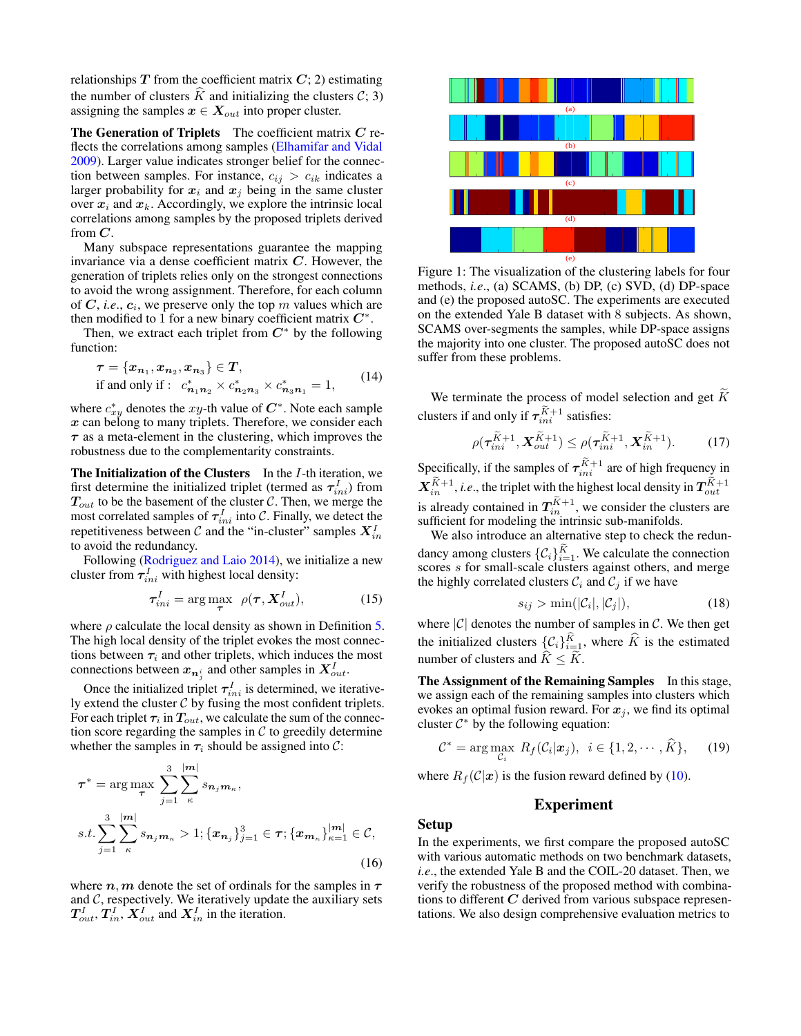relationships  $T$  from the coefficient matrix  $C$ ; 2) estimating the number of clusters  $\hat{K}$  and initializing the clusters  $\hat{C}$ ; 3) assigning the samples  $x \in X_{out}$  into proper cluster.

The Generation of Triplets The coefficient matrix  $C$  reflects the correlations among samples [\(Elhamifar and Vidal](#page-7-0) [2009\)](#page-7-0). Larger value indicates stronger belief for the connection between samples. For instance,  $c_{ij} > c_{ik}$  indicates a larger probability for  $x_i$  and  $x_j$  being in the same cluster over  $x_i$  and  $x_k$ . Accordingly, we explore the intrinsic local correlations among samples by the proposed triplets derived from  $C$ .

Many subspace representations guarantee the mapping invariance via a dense coefficient matrix  $C$ . However, the generation of triplets relies only on the strongest connections to avoid the wrong assignment. Therefore, for each column of  $C$ , *i.e.*,  $c_i$ , we preserve only the top m values which are then modified to 1 for a new binary coefficient matrix  $C^*$ .

Then, we extract each triplet from  $C^*$  by the following function:

<span id="page-4-0"></span>
$$
\tau = \{x_{n_1}, x_{n_2}, x_{n_3}\} \in T,
$$
  
if and only if :  $c_{n_1 n_2}^* \times c_{n_2 n_3}^* \times c_{n_3 n_1}^* = 1,$  (14)

where  $c_{xy}^*$  denotes the xy-th value of  $C^*$ . Note each sample  $x$  can belong to many triplets. Therefore, we consider each  $\tau$  as a meta-element in the clustering, which improves the robustness due to the complementarity constraints.

**The Initialization of the Clusters** In the  $I$ -th iteration, we first determine the initialized triplet (termed as  $\tau_{ini}^I$ ) from  $T_{out}$  to be the basement of the cluster C. Then, we merge the most correlated samples of  $\tau_{ini}^I$  into C. Finally, we detect the repetitiveness between  $\mathcal C$  and the "in-cluster" samples  $\boldsymbol X_{in}^I$ to avoid the redundancy.

Following [\(Rodriguez and Laio 2014\)](#page-7-9), we initialize a new cluster from  $\tau_{ini}^I$  with highest local density:

$$
\tau_{ini}^I = \arg\max_{\boldsymbol{\tau}} \ \rho(\boldsymbol{\tau}, \boldsymbol{X}_{out}^I), \tag{15}
$$

where  $\rho$  calculate the local density as shown in Definition [5.](#page-3-1) The high local density of the triplet evokes the most connections between  $\tau_i$  and other triplets, which induces the most connections between  $x_{n_j}$  and other samples in  $X_{out}^I$ .

Once the initialized triplet  $\tau_{ini}^I$  is determined, we iteratively extend the cluster  $C$  by fusing the most confident triplets. For each triplet  $\tau_i$  in  $T_{out}$ , we calculate the sum of the connection score regarding the samples in  $C$  to greedily determine whether the samples in  $\tau_i$  should be assigned into C:

$$
\tau^* = \arg \max_{\tau} \sum_{j=1}^3 \sum_{\kappa}^{|m|} s_{n_j m_{\kappa}},
$$
  
s.t. 
$$
\sum_{j=1}^3 \sum_{\kappa}^{|m|} s_{n_j m_{\kappa}} > 1; \{\boldsymbol{x}_{n_j}\}_{j=1}^3 \in \tau; \{\boldsymbol{x}_{m_{\kappa}}\}_{\kappa=1}^{|m|} \in C,
$$
  
(16)

where  $n, m$  denote the set of ordinals for the samples in  $\tau$ and  $C$ , respectively. We iteratively update the auxiliary sets  $T_{out}^I, T_{in}^I, X_{out}^I$  and  $X_{in}^I$  in the iteration.



Figure 1: The visualization of the clustering labels for four methods, *i.e*., (a) SCAMS, (b) DP, (c) SVD, (d) DP-space and (e) the proposed autoSC. The experiments are executed on the extended Yale B dataset with 8 subjects. As shown, SCAMS over-segments the samples, while DP-space assigns the majority into one cluster. The proposed autoSC does not suffer from these problems.

We terminate the process of model selection and get  $K$ clusters if and only if  $\tau_{ini}^{K+1}$  satisfies:

<span id="page-4-5"></span>
$$
\rho(\tau_{ini}^{\widetilde{K}+1}, \boldsymbol{X}_{out}^{\widetilde{K}+1}) \leq \rho(\tau_{ini}^{\widetilde{K}+1}, \boldsymbol{X}_{in}^{\widetilde{K}+1}).
$$
 (17)

Specifically, if the samples of  $\tau_{ini}^{K+1}$  are of high frequency in  $\boldsymbol{X}^{K+1}_{in}$ , *i.e.*, the triplet with the highest local density in  $\boldsymbol{T}^{K+1}_{out}$ is already contained in  $T_{in}^{K+1}$ , we consider the clusters are sufficient for modeling the intrinsic sub-manifolds.

<span id="page-4-1"></span>We also introduce an alternative step to check the redundancy among clusters  $\{C_i\}_{i=1}^K$ . We calculate the connection scores s for small-scale clusters against others, and merge the highly correlated clusters  $\mathcal{C}_i$  and  $\mathcal{C}_j$  if we have

<span id="page-4-3"></span>
$$
s_{ij} > \min(|\mathcal{C}_i|, |\mathcal{C}_j|), \tag{18}
$$

where  $|\mathcal{C}|$  denotes the number of samples in  $\mathcal{C}$ . We then get the initialized clusters  $\{\mathcal{C}_i\}_{i=1}^K$ , where  $\widehat{K}$  is the estimated number of clusters and  $\hat{K} < \tilde{K}$ .

The Assignment of the Remaining Samples In this stage, we assign each of the remaining samples into clusters which evokes an optimal fusion reward. For  $x_j$ , we find its optimal cluster  $C^*$  by the following equation:

$$
\mathcal{C}^* = \arg \max_{\mathcal{C}_i} R_f(\mathcal{C}_i | \mathbf{x}_j), \ \ i \in \{1, 2, \cdots, \widehat{K}\}, \qquad (19)
$$

<span id="page-4-2"></span>where  $R_f(\mathcal{C}|\mathbf{x})$  is the fusion reward defined by [\(10\)](#page-3-2).

#### <span id="page-4-4"></span>Experiment

#### Setup

In the experiments, we first compare the proposed autoSC with various automatic methods on two benchmark datasets, *i.e*., the extended Yale B and the COIL-20 dataset. Then, we verify the robustness of the proposed method with combinations to different  $C$  derived from various subspace representations. We also design comprehensive evaluation metrics to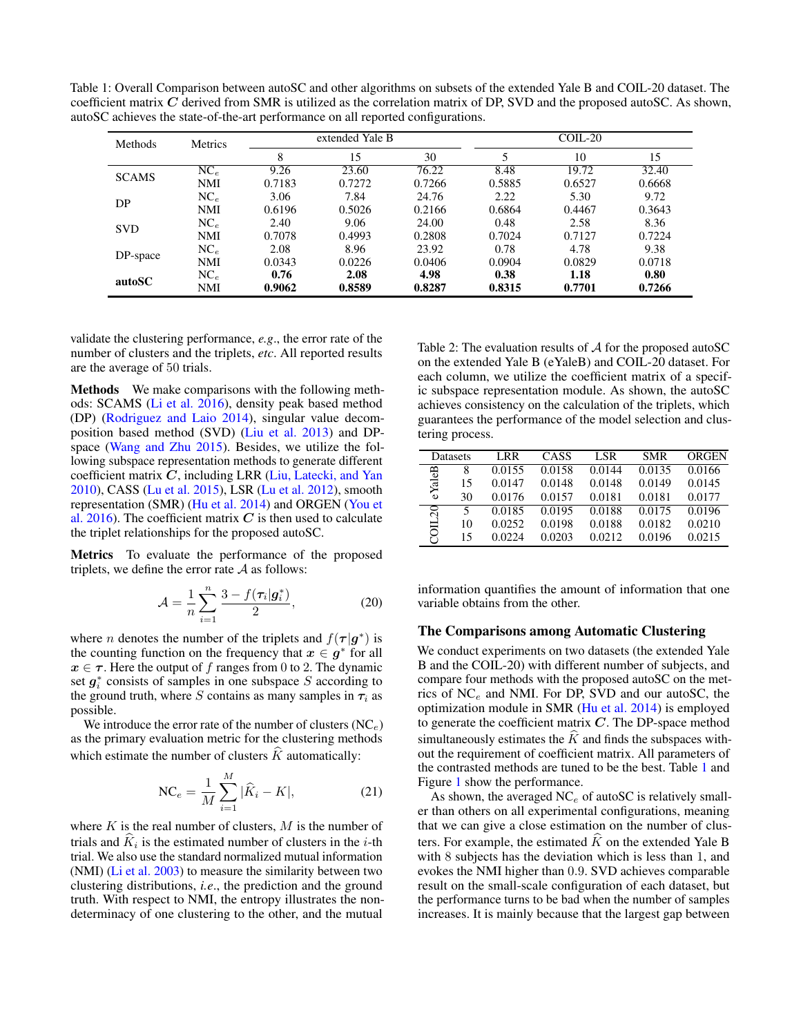<span id="page-5-0"></span>Table 1: Overall Comparison between autoSC and other algorithms on subsets of the extended Yale B and COIL-20 dataset. The coefficient matrix  $C$  derived from SMR is utilized as the correlation matrix of DP, SVD and the proposed autoSC. As shown, autoSC achieves the state-of-the-art performance on all reported configurations.

| Methods      | <b>Metrics</b>  | extended Yale B |        |        | $COLL-20$ |        |        |
|--------------|-----------------|-----------------|--------|--------|-----------|--------|--------|
|              |                 | 8               | 15     | 30     |           | 10     | 15     |
| <b>SCAMS</b> | $NC_{e}$        | 9.26            | 23.60  | 76.22  | 8.48      | 19.72  | 32.40  |
|              | <b>NMI</b>      | 0.7183          | 0.7272 | 0.7266 | 0.5885    | 0.6527 | 0.6668 |
| DP           | $NC_{e}$        | 3.06            | 7.84   | 24.76  | 2.22      | 5.30   | 9.72   |
|              | <b>NMI</b>      | 0.6196          | 0.5026 | 0.2166 | 0.6864    | 0.4467 | 0.3643 |
| <b>SVD</b>   | $NC_{e}$        | 2.40            | 9.06   | 24.00  | 0.48      | 2.58   | 8.36   |
|              | <b>NMI</b>      | 0.7078          | 0.4993 | 0.2808 | 0.7024    | 0.7127 | 0.7224 |
| DP-space     | NC <sub>e</sub> | 2.08            | 8.96   | 23.92  | 0.78      | 4.78   | 9.38   |
|              | <b>NMI</b>      | 0.0343          | 0.0226 | 0.0406 | 0.0904    | 0.0829 | 0.0718 |
| autoSC       | NC <sub>e</sub> | 0.76            | 2.08   | 4.98   | 0.38      | 1.18   | 0.80   |
|              | <b>NMI</b>      | 0.9062          | 0.8589 | 0.8287 | 0.8315    | 0.7701 | 0.7266 |

validate the clustering performance, *e.g*., the error rate of the number of clusters and the triplets, *etc*. All reported results are the average of 50 trials.

Methods We make comparisons with the following methods: SCAMS [\(Li et al.](#page-7-6) 2016), density peak based method (DP) [\(Rodriguez and Laio 2014\)](#page-7-9), singular value decomposition based method (SVD) [\(Liu et al.](#page-7-25) 2013) and DPspace [\(Wang and Zhu 2015\)](#page-7-4). Besides, we utilize the following subspace representation methods to generate different coefficient matrix  $C$ , including LRR [\(Liu, Latecki, and Yan](#page-7-19) [2010\)](#page-7-19), CASS [\(Lu et al.](#page-7-21) 2015), LSR [\(Lu et al.](#page-7-20) 2012), smooth representation (SMR) [\(Hu et al.](#page-7-18) 2014) and ORGEN [\(You et](#page-7-22) al. [2016\)](#page-7-22). The coefficient matrix  $C$  is then used to calculate the triplet relationships for the proposed autoSC.

Metrics To evaluate the performance of the proposed triplets, we define the error rate  $A$  as follows:

$$
\mathcal{A} = \frac{1}{n} \sum_{i=1}^{n} \frac{3 - f(\tau_i | \mathbf{g}_i^*)}{2},
$$
 (20)

where *n* denotes the number of the triplets and  $f(\tau | g^*)$  is the counting function on the frequency that  $x \in g^*$  for all  $x \in \tau$ . Here the output of f ranges from 0 to 2. The dynamic set  $g_i^*$  consists of samples in one subspace S according to the ground truth, where S contains as many samples in  $\tau_i$  as possible.

We introduce the error rate of the number of clusters  $(NC_e)$ as the primary evaluation metric for the clustering methods which estimate the number of clusters  $\hat{K}$  automatically:

$$
NC_e = \frac{1}{M} \sum_{i=1}^{M} |\hat{K}_i - K|,
$$
\n(21)

where  $K$  is the real number of clusters,  $M$  is the number of trials and  $K_i$  is the estimated number of clusters in the *i*-th<br>trial. We also use the standard narmalized nutrial information trial. We also use the standard normalized mutual information (NMI) [\(Li et al.](#page-7-33) 2003) to measure the similarity between two clustering distributions, *i.e*., the prediction and the ground truth. With respect to NMI, the entropy illustrates the nondeterminacy of one clustering to the other, and the mutual

<span id="page-5-1"></span>Table 2: The evaluation results of  $A$  for the proposed autoSC on the extended Yale B (eYaleB) and COIL-20 dataset. For each column, we utilize the coefficient matrix of a specific subspace representation module. As shown, the autoSC achieves consistency on the calculation of the triplets, which guarantees the performance of the model selection and clustering process.

| <b>Datasets</b> |    | LRR    | CASS   | <b>LSR</b> | <b>SMR</b> | ORGEN  |
|-----------------|----|--------|--------|------------|------------|--------|
|                 | 8  | 0.0155 | 0.0158 | 0.0144     | 0.0135     | 0.0166 |
| eYaleB          | 15 | 0.0147 | 0.0148 | 0.0148     | 0.0149     | 0.0145 |
|                 | 30 | 0.0176 | 0.0157 | 0.0181     | 0.0181     | 0.0177 |
|                 | 5  | 0.0185 | 0.0195 | 0.0188     | 0.0175     | 0.0196 |
| 701120          | 10 | 0.0252 | 0.0198 | 0.0188     | 0.0182     | 0.0210 |
|                 | 15 | 0.0224 | 0.0203 | 0.0212     | 0.0196     | 0.0215 |

information quantifies the amount of information that one variable obtains from the other.

#### The Comparisons among Automatic Clustering

We conduct experiments on two datasets (the extended Yale B and the COIL-20) with different number of subjects, and compare four methods with the proposed autoSC on the metrics of  $NC_e$  and NMI. For DP, SVD and our autoSC, the optimization module in SMR [\(Hu et al.](#page-7-18) 2014) is employed to generate the coefficient matrix  $C$ . The DP-space method simultaneously estimates the  $K$  and finds the subspaces without the requirement of coefficient matrix. All parameters of the contrasted methods are tuned to be the best. Table [1](#page-5-0) and Figure [1](#page-4-5) show the performance.

As shown, the averaged  $NC_e$  of autoSC is relatively smaller than others on all experimental configurations, meaning that we can give a close estimation on the number of clusters. For example, the estimated  $\hat{K}$  on the extended Yale B with 8 subjects has the deviation which is less than 1, and evokes the NMI higher than 0.9. SVD achieves comparable result on the small-scale configuration of each dataset, but the performance turns to be bad when the number of samples increases. It is mainly because that the largest gap between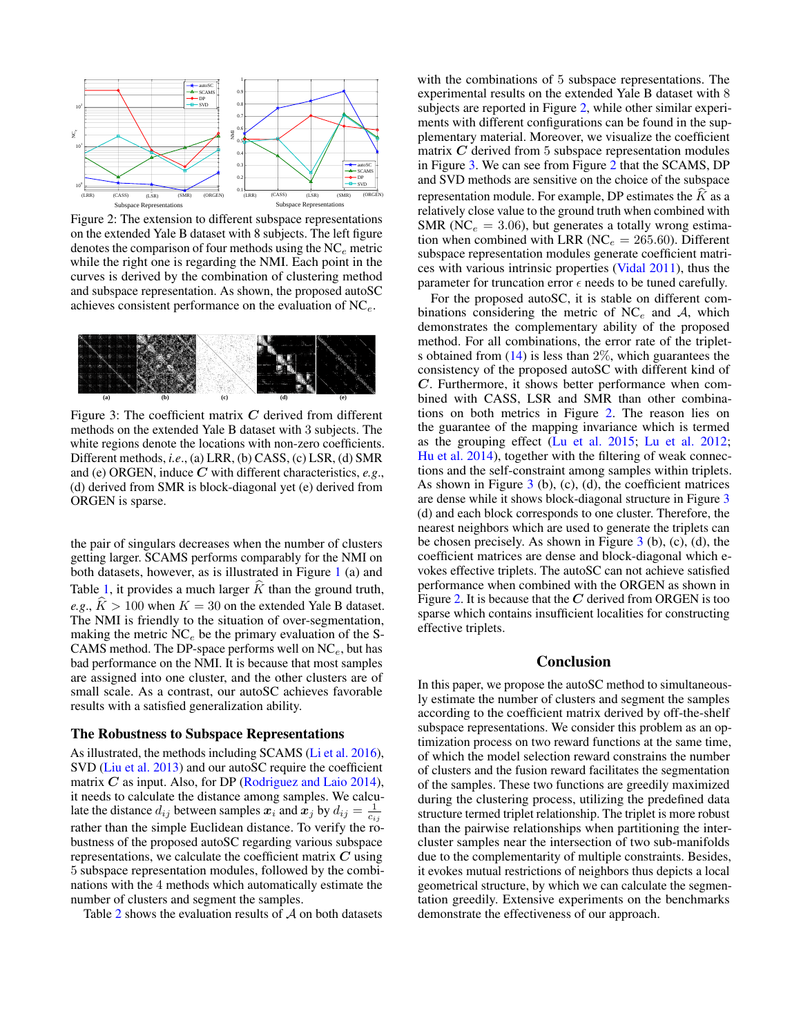

<span id="page-6-0"></span>Figure 2: The extension to different subspace representations on the extended Yale B dataset with 8 subjects. The left figure denotes the comparison of four methods using the  $NC_e$  metric while the right one is regarding the NMI. Each point in the curves is derived by the combination of clustering method and subspace representation. As shown, the proposed autoSC achieves consistent performance on the evaluation of  $NC_e$ .



<span id="page-6-1"></span>Figure 3: The coefficient matrix  $C$  derived from different methods on the extended Yale B dataset with 3 subjects. The white regions denote the locations with non-zero coefficients. Different methods, *i.e*., (a) LRR, (b) CASS, (c) LSR, (d) SMR and (e) ORGEN, induce C with different characteristics, *e.g*., (d) derived from SMR is block-diagonal yet (e) derived from ORGEN is sparse.

the pair of singulars decreases when the number of clusters getting larger. SCAMS performs comparably for the NMI on both datasets, however, as is illustrated in Figure [1](#page-4-5) (a) and Table [1,](#page-5-0) it provides a much larger  $\hat{K}$  than the ground truth, *e.g.*,  $\hat{K} > 100$  when  $K = 30$  on the extended Yale B dataset. The NMI is friendly to the situation of over-segmentation, making the metric  $NC_e$  be the primary evaluation of the S-CAMS method. The DP-space performs well on  $NC_e$ , but has bad performance on the NMI. It is because that most samples are assigned into one cluster, and the other clusters are of small scale. As a contrast, our autoSC achieves favorable results with a satisfied generalization ability.

#### The Robustness to Subspace Representations

As illustrated, the methods including SCAMS [\(Li et al.](#page-7-6) 2016), SVD [\(Liu et al.](#page-7-25) 2013) and our autoSC require the coefficient matrix  $C$  as input. Also, for DP [\(Rodriguez and Laio 2014\)](#page-7-9), it needs to calculate the distance among samples. We calculate the distance  $d_{ij}$  between samples  $\hat{x_i}$  and  $\hat{x_j}$  by  $d_{ij} = \frac{1}{c_{ij}}$ rather than the simple Euclidean distance. To verify the robustness of the proposed autoSC regarding various subspace representations, we calculate the coefficient matrix  $C$  using 5 subspace representation modules, followed by the combinations with the 4 methods which automatically estimate the number of clusters and segment the samples.

Table [2](#page-5-1) shows the evaluation results of  $A$  on both datasets

with the combinations of 5 subspace representations. The experimental results on the extended Yale B dataset with 8 subjects are reported in Figure [2,](#page-6-0) while other similar experiments with different configurations can be found in the supplementary material. Moreover, we visualize the coefficient matrix  $C$  derived from 5 subspace representation modules in Figure [3.](#page-6-1) We can see from Figure [2](#page-6-0) that the SCAMS, DP and SVD methods are sensitive on the choice of the subspace representation module. For example, DP estimates the  $K$  as a relatively close value to the ground truth when combined with SMR (NC $_e$  = 3.06), but generates a totally wrong estimation when combined with LRR (NC $_e = 265.60$ ). Different subspace representation modules generate coefficient matrices with various intrinsic properties [\(Vidal 2011\)](#page-7-1), thus the parameter for truncation error  $\epsilon$  needs to be tuned carefully.

For the proposed autoSC, it is stable on different combinations considering the metric of  $NC_e$  and A, which demonstrates the complementary ability of the proposed method. For all combinations, the error rate of the triplets obtained from  $(14)$  is less than  $2\%$ , which guarantees the consistency of the proposed autoSC with different kind of C. Furthermore, it shows better performance when combined with CASS, LSR and SMR than other combinations on both metrics in Figure [2.](#page-6-0) The reason lies on the guarantee of the mapping invariance which is termed as the grouping effect [\(Lu et al.](#page-7-21) 2015; [Lu et al.](#page-7-20) 2012; [Hu et al.](#page-7-18) 2014), together with the filtering of weak connections and the self-constraint among samples within triplets. As shown in Figure  $3$  (b), (c), (d), the coefficient matrices are dense while it shows block-diagonal structure in Figure [3](#page-6-1) (d) and each block corresponds to one cluster. Therefore, the nearest neighbors which are used to generate the triplets can be chosen precisely. As shown in Figure [3](#page-6-1) (b), (c), (d), the coefficient matrices are dense and block-diagonal which evokes effective triplets. The autoSC can not achieve satisfied performance when combined with the ORGEN as shown in Figure [2.](#page-6-0) It is because that the  $C$  derived from ORGEN is too sparse which contains insufficient localities for constructing effective triplets.

## Conclusion

In this paper, we propose the autoSC method to simultaneously estimate the number of clusters and segment the samples according to the coefficient matrix derived by off-the-shelf subspace representations. We consider this problem as an optimization process on two reward functions at the same time, of which the model selection reward constrains the number of clusters and the fusion reward facilitates the segmentation of the samples. These two functions are greedily maximized during the clustering process, utilizing the predefined data structure termed triplet relationship. The triplet is more robust than the pairwise relationships when partitioning the intercluster samples near the intersection of two sub-manifolds due to the complementarity of multiple constraints. Besides, it evokes mutual restrictions of neighbors thus depicts a local geometrical structure, by which we can calculate the segmentation greedily. Extensive experiments on the benchmarks demonstrate the effectiveness of our approach.